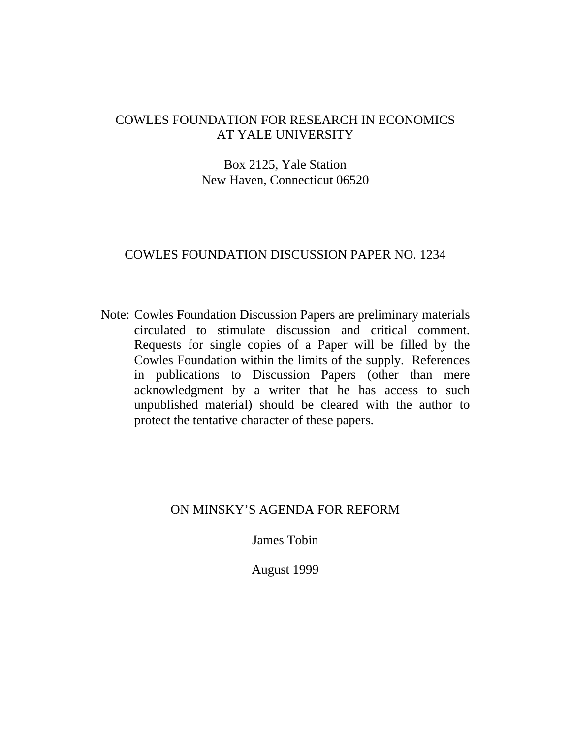## COWLES FOUNDATION FOR RESEARCH IN ECONOMICS AT YALE UNIVERSITY

### Box 2125, Yale Station New Haven, Connecticut 06520

### COWLES FOUNDATION DISCUSSION PAPER NO. 1234

Note: Cowles Foundation Discussion Papers are preliminary materials circulated to stimulate discussion and critical comment. Requests for single copies of a Paper will be filled by the Cowles Foundation within the limits of the supply. References in publications to Discussion Papers (other than mere acknowledgment by a writer that he has access to such unpublished material) should be cleared with the author to protect the tentative character of these papers.

#### ON MINSKY'S AGENDA FOR REFORM

James Tobin

August 1999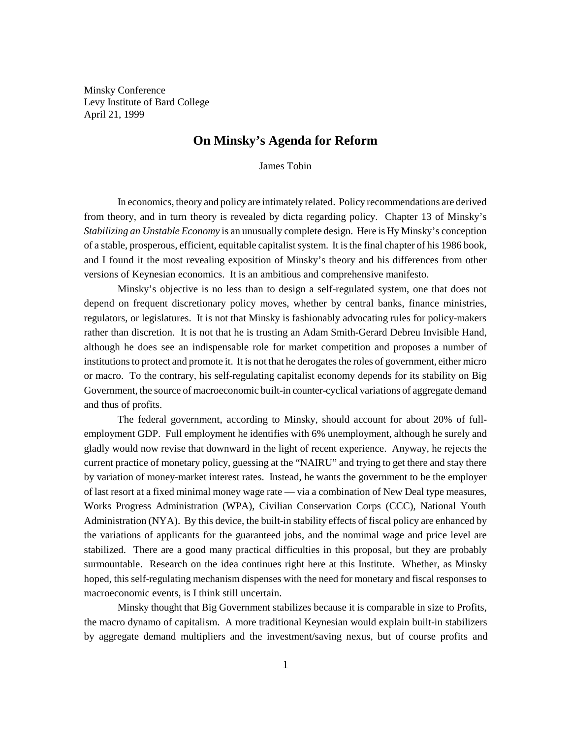Minsky Conference Levy Institute of Bard College April 21, 1999

# **On Minsky's Agenda for Reform**

James Tobin

In economics, theory and policy are intimately related. Policy recommendations are derived from theory, and in turn theory is revealed by dicta regarding policy. Chapter 13 of Minsky's *Stabilizing an Unstable Economy* is an unusually complete design. Here is Hy Minsky's conception of a stable, prosperous, efficient, equitable capitalist system. It is the final chapter of his 1986 book, and I found it the most revealing exposition of Minsky's theory and his differences from other versions of Keynesian economics. It is an ambitious and comprehensive manifesto.

Minsky's objective is no less than to design a self-regulated system, one that does not depend on frequent discretionary policy moves, whether by central banks, finance ministries, regulators, or legislatures. It is not that Minsky is fashionably advocating rules for policy-makers rather than discretion. It is not that he is trusting an Adam Smith-Gerard Debreu Invisible Hand, although he does see an indispensable role for market competition and proposes a number of institutions to protect and promote it. It is not that he derogates the roles of government, either micro or macro. To the contrary, his self-regulating capitalist economy depends for its stability on Big Government, the source of macroeconomic built-in counter-cyclical variations of aggregate demand and thus of profits.

The federal government, according to Minsky, should account for about 20% of fullemployment GDP. Full employment he identifies with 6% unemployment, although he surely and gladly would now revise that downward in the light of recent experience. Anyway, he rejects the current practice of monetary policy, guessing at the "NAIRU" and trying to get there and stay there by variation of money-market interest rates. Instead, he wants the government to be the employer of last resort at a fixed minimal money wage rate — via a combination of New Deal type measures, Works Progress Administration (WPA), Civilian Conservation Corps (CCC), National Youth Administration (NYA). By this device, the built-in stability effects of fiscal policy are enhanced by the variations of applicants for the guaranteed jobs, and the nomimal wage and price level are stabilized. There are a good many practical difficulties in this proposal, but they are probably surmountable. Research on the idea continues right here at this Institute. Whether, as Minsky hoped, this self-regulating mechanism dispenses with the need for monetary and fiscal responses to macroeconomic events, is I think still uncertain.

Minsky thought that Big Government stabilizes because it is comparable in size to Profits, the macro dynamo of capitalism. A more traditional Keynesian would explain built-in stabilizers by aggregate demand multipliers and the investment/saving nexus, but of course profits and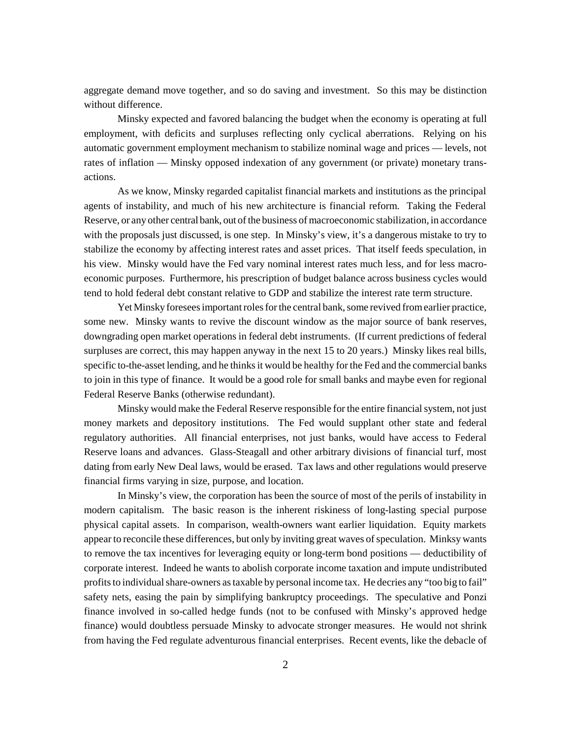aggregate demand move together, and so do saving and investment. So this may be distinction without difference.

Minsky expected and favored balancing the budget when the economy is operating at full employment, with deficits and surpluses reflecting only cyclical aberrations. Relying on his automatic government employment mechanism to stabilize nominal wage and prices — levels, not rates of inflation — Minsky opposed indexation of any government (or private) monetary transactions.

As we know, Minsky regarded capitalist financial markets and institutions as the principal agents of instability, and much of his new architecture is financial reform. Taking the Federal Reserve, or any other central bank, out of the business of macroeconomic stabilization, in accordance with the proposals just discussed, is one step. In Minsky's view, it's a dangerous mistake to try to stabilize the economy by affecting interest rates and asset prices. That itself feeds speculation, in his view. Minsky would have the Fed vary nominal interest rates much less, and for less macroeconomic purposes. Furthermore, his prescription of budget balance across business cycles would tend to hold federal debt constant relative to GDP and stabilize the interest rate term structure.

Yet Minsky foresees important roles for the central bank, some revived from earlier practice, some new. Minsky wants to revive the discount window as the major source of bank reserves, downgrading open market operations in federal debt instruments. (If current predictions of federal surpluses are correct, this may happen anyway in the next 15 to 20 years.) Minsky likes real bills, specific to-the-asset lending, and he thinks it would be healthy for the Fed and the commercial banks to join in this type of finance. It would be a good role for small banks and maybe even for regional Federal Reserve Banks (otherwise redundant).

Minsky would make the Federal Reserve responsible for the entire financial system, not just money markets and depository institutions. The Fed would supplant other state and federal regulatory authorities. All financial enterprises, not just banks, would have access to Federal Reserve loans and advances. Glass-Steagall and other arbitrary divisions of financial turf, most dating from early New Deal laws, would be erased. Tax laws and other regulations would preserve financial firms varying in size, purpose, and location.

In Minsky's view, the corporation has been the source of most of the perils of instability in modern capitalism. The basic reason is the inherent riskiness of long-lasting special purpose physical capital assets. In comparison, wealth-owners want earlier liquidation. Equity markets appear to reconcile these differences, but only by inviting great waves of speculation. Minksy wants to remove the tax incentives for leveraging equity or long-term bond positions — deductibility of corporate interest. Indeed he wants to abolish corporate income taxation and impute undistributed profits to individual share-owners as taxable by personal income tax. He decries any "too big to fail" safety nets, easing the pain by simplifying bankruptcy proceedings. The speculative and Ponzi finance involved in so-called hedge funds (not to be confused with Minsky's approved hedge finance) would doubtless persuade Minsky to advocate stronger measures. He would not shrink from having the Fed regulate adventurous financial enterprises. Recent events, like the debacle of